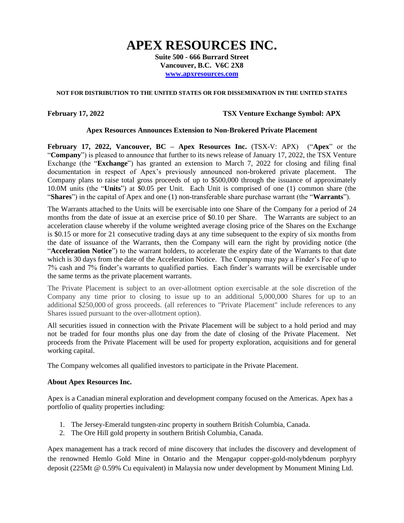# **APEX RESOURCES INC.**

**Suite 500 - 666 Burrard Street Vancouver, B.C. V6C 2X8 [www.apxresources.com](http://www.apxresources.com/)**

## **NOT FOR DISTRIBUTION TO THE UNITED STATES OR FOR DISSEMINATION IN THE UNITED STATES**

## **February 17, 2022 TSX Venture Exchange Symbol: APX**

## **Apex Resources Announces Extension to Non-Brokered Private Placement**

**February 17, 2022, Vancouver, BC – Apex Resources Inc.** (TSX-V: APX) ("**Apex**" or the "**Company**") is pleased to announce that further to its news release of January 17, 2022, the TSX Venture Exchange (the "**Exchange**") has granted an extension to March 7, 2022 for closing and filing final documentation in respect of Apex's previously announced non-brokered private placement. The Company plans to raise total gross proceeds of up to \$500,000 through the issuance of approximately 10.0M units (the "**Units**") at \$0.05 per Unit. Each Unit is comprised of one (1) common share (the "**Shares**") in the capital of Apex and one (1) non-transferable share purchase warrant (the "**Warrants**").

The Warrants attached to the Units will be exercisable into one Share of the Company for a period of 24 months from the date of issue at an exercise price of \$0.10 per Share. The Warrants are subject to an acceleration clause whereby if the volume weighted average closing price of the Shares on the Exchange is \$0.15 or more for 21 consecutive trading days at any time subsequent to the expiry of six months from the date of issuance of the Warrants, then the Company will earn the right by providing notice (the "**Acceleration Notice**") to the warrant holders, to accelerate the expiry date of the Warrants to that date which is 30 days from the date of the Acceleration Notice. The Company may pay a Finder's Fee of up to 7% cash and 7% finder's warrants to qualified parties. Each finder's warrants will be exercisable under the same terms as the private placement warrants.

The Private Placement is subject to an over-allotment option exercisable at the sole discretion of the Company any time prior to closing to issue up to an additional 5,000,000 Shares for up to an additional \$250,000 of gross proceeds. (all references to "Private Placement" include references to any Shares issued pursuant to the over-allotment option).

All securities issued in connection with the Private Placement will be subject to a hold period and may not be traded for four months plus one day from the date of closing of the Private Placement. Net proceeds from the Private Placement will be used for property exploration, acquisitions and for general working capital.

The Company welcomes all qualified investors to participate in the Private Placement.

#### **About Apex Resources Inc.**

Apex is a Canadian mineral exploration and development company focused on the Americas. Apex has a portfolio of quality properties including:

- 1. The Jersey-Emerald tungsten-zinc property in southern British Columbia, Canada.
- 2. The Ore Hill gold property in southern British Columbia, Canada.

Apex management has a track record of mine discovery that includes the discovery and development of the renowned Hemlo Gold Mine in Ontario and the Mengapur copper-gold-molybdenum porphyry deposit (225Mt @ 0.59% Cu equivalent) in Malaysia now under development by Monument Mining Ltd.